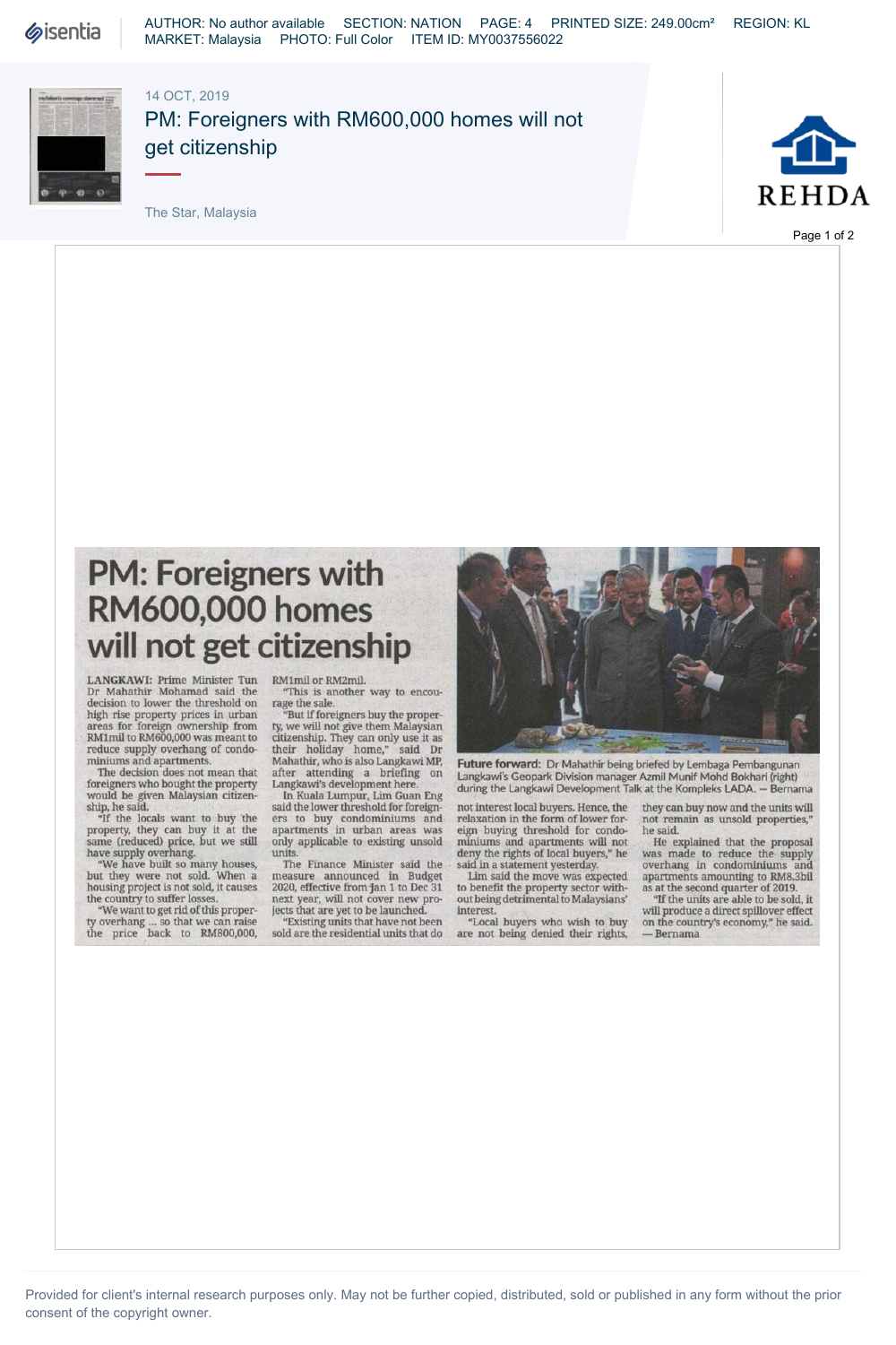**Sisentia** 

AUTHOR: No author available SECTION: NATION PAGE: 4 PRINTED SIZE: 249.00cm² REGION: KL MARKET: Malaysia PHOTO: Full Color ITEM ID: MY0037556022

## 14 OCT, 2019



PM: Foreigners with RM600,000 homes will not get citizenship

The Star, Malaysia



Page 1 of 2

## **PM: Foreigners with RM600,000 homes will not get citizenship**

**LANGKAWI:** Prime Minister Tun Dr Mahathir Mohamad said the decision to lower the threshold on high rise property prices in urban areas for foreign ownership from RMlmil to RM600.000 was meant to reduce supply overhang of condominiums and apartments.

The decision does not mean that foreigners who bought the property would be given Malaysian citizen-

ship, he said. "If the locals want to buy the property, they can buy it at the same (reduced) price, but we still have supply overhang.

"We have built so many houses, but they were not sold. When a housing project is not sold, it causes the country to suffer losses. "We want to get rid of this proper-

ty overhang ... so that we can raise the price back to RM800,000,

RMlmil or RM2mil. "This is another way to encou-

rage the sale. "But if foreigners buy the property, we will not give them Malaysian citizenship. They can only use it as<br>their holiday home," said Dr<br>Mahathir, who is also Langkawi MP,<br>after attending a briefing on<br>Langkawi's development here.

In Kuala Lumpur, Lim Guan Eng said the lower threshold for foreigners to buy condominiums and apartments in urban areas was only applicable to existing unsold

units The Finance Minister said the measure announced in Budget 2020, effective from jan 1 to Dec 31 next year, will not cover new pro-jects that are yet to be launched.

"Existing units that have not been sold are the residential units that do



**Future forward:** Dr Mahathir being briefed by Lembaga Pembangunan<br>Langkawi's Geopark Division manager Azmil Munif Mohd Bokhari (right) during the Langkawi Development Talk at the Kompleks LADA. — Bernama

not interest local buyers. Hence, the relaxation in the form of lower for-eign buying threshold for condominiums and apartments will not deny the rights of local buyers," he

said in a statement yesterday. Lim said the move was expected to benefit the property sector without being detrimental to Malaysians' interest.

"Local buyers who wish to buy are not being denied their rights,

they can buy now and the units will not remain as unsold properties," he said.

He explained that the proposal was made to reduce the supply overhang in condominiums and apartments amounting to RM8.3bil as at the second quarter of 2019.

"If the units are able to be sold, it will produce a direct spillover effect on the country's economy," he said. — Bernama

Provided for client's internal research purposes only. May not be further copied, distributed, sold or published in any form without the prior consent of the copyright owner.